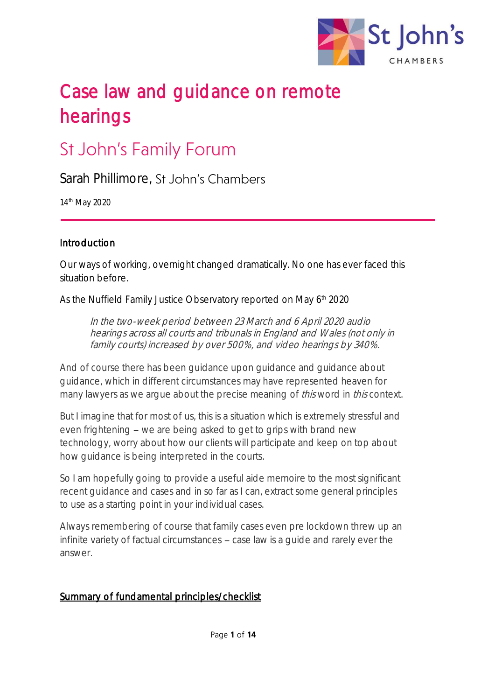

# Case law and guidance on remote hearings

# **St John's Family Forum**

Sarah Phillimore, St. John's Chambers

14th May 2020

#### Introduction

Our ways of working, overnight changed dramatically. No one has ever faced this situation before.

As the Nuffield Family Justice Observatory reported on May 6<sup>th</sup> 2020

In the two-week period between 23 March and 6 April 2020 audio hearings across all courts and tribunals in England and Wales (not only in family courts) increased by over 500%, and video hearings by 340%.

And of course there has been guidance upon guidance and guidance about guidance, which in different circumstances may have represented heaven for many lawyers as we argue about the precise meaning of *this* word in *this* context.

But I imagine that for most of us, this is a situation which is extremely stressful and even frightening – we are being asked to get to grips with brand new technology, worry about how our clients will participate and keep on top about how guidance is being interpreted in the courts.

So I am hopefully going to provide a useful aide memoire to the most significant recent guidance and cases and in so far as I can, extract some general principles to use as a starting point in your individual cases.

Always remembering of course that family cases even pre lockdown threw up an infinite variety of factual circumstances  $-$  case law is a guide and rarely ever the answer.

#### Summary of fundamental principles/checklist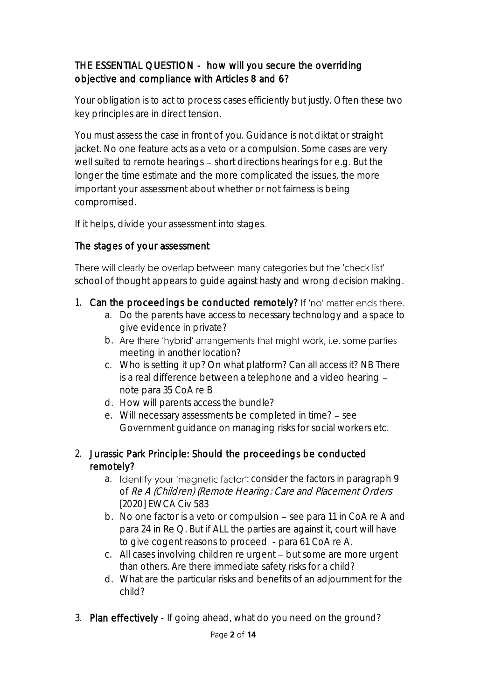#### THE ESSENTIAL QUESTION - how will you secure the overriding objective and compliance with Articles 8 and 6?

Your obligation is to act to process cases efficiently but justly. Often these two key principles are in direct tension.

You must assess the case in front of you. Guidance is not diktat or straight jacket. No one feature acts as a veto or a compulsion. Some cases are very well suited to remote hearings  $-$  short directions hearings for e.g. But the longer the time estimate and the more complicated the issues, the more important your assessment about whether or not fairness is being compromised.

If it helps, divide your assessment into stages.

#### The stages of your assessment

There will clearly be overlap between many categories but the 'check list' school of thought appears to guide against hasty and wrong decision making.

- 1. Can the proceedings be conducted remotely? If 'no' matter ends there.
	- a. Do the parents have access to necessary technology and a space to give evidence in private?
	- b. Are there 'hybrid' arrangements that might work, i.e. some parties meeting in another location?
	- c. Who is setting it up? On what platform? Can all access it? NB There is a real difference between a telephone and a video hearing note para 35 CoA re B
	- d. How will parents access the bundle?
	- e. Will necessary assessments be completed in time? see Government guidance on managing risks for social workers etc.

#### 2. Jurassic Park Principle: Should the proceedings be conducted remotely?

- a. Identify your 'magnetic factor': consider the factors in paragraph 9 of Re A (Children) (Remote Hearing: Care and Placement Orders [2020] EWCA Civ 583
- b. No one factor is a veto or compulsion  $-$  see para 11 in CoA re A and para 24 in Re Q. But if ALL the parties are against it, court will have to give cogent reasons to proceed - para 61 CoA re A.
- c. All cases involving children re urgent but some are more urgent than others. Are there immediate safety risks for a child?
- d. What are the particular risks and benefits of an adjournment for the child?
- 3. Plan effectively If going ahead, what do you need on the ground?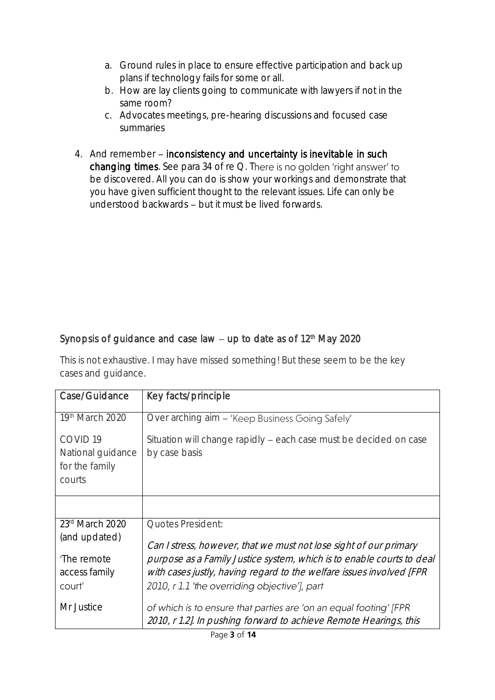- a. Ground rules in place to ensure effective participation and back up plans if technology fails for some or all.
- b. How are lay clients going to communicate with lawyers if not in the same room?
- c. Advocates meetings, pre-hearing discussions and focused case summaries
- 4. And remember inconsistency and uncertainty is inevitable in such changing times. See para 34 of re Q. There is no golden 'right answer' to be discovered. All you can do is show your workings and demonstrate that you have given sufficient thought to the relevant issues. Life can only be understood backwards – but it must be lived forwards.

### Synopsis of guidance and case law  $-$  up to date as of 12<sup>th</sup> May 2020

This is not exhaustive. I may have missed something! But these seem to be the key cases and guidance.

| Case/Guidance       | Key facts/principle                                                                                                                    |
|---------------------|----------------------------------------------------------------------------------------------------------------------------------------|
| 19th March 2020     | Over arching aim - 'Keep Business Going Safely'                                                                                        |
| COVID <sub>19</sub> | Situation will change rapidly - each case must be decided on case                                                                      |
| National guidance   | by case basis                                                                                                                          |
| for the family      |                                                                                                                                        |
| courts              |                                                                                                                                        |
|                     |                                                                                                                                        |
| 23rd March 2020     | Quotes President:                                                                                                                      |
| (and updated)       | Can I stress, however, that we must not lose sight of our primary                                                                      |
| 'The remote         | purpose as a Family Justice system, which is to enable courts to deal                                                                  |
| access family       | with cases justly, having regard to the welfare issues involved [FPR                                                                   |
| court'              | 2010, r 1.1 'the overriding objective'], part                                                                                          |
| Mr Justice          | of which is to ensure that parties are 'on an equal footing' [FPR<br>2010, r 1.2]. In pushing forward to achieve Remote Hearings, this |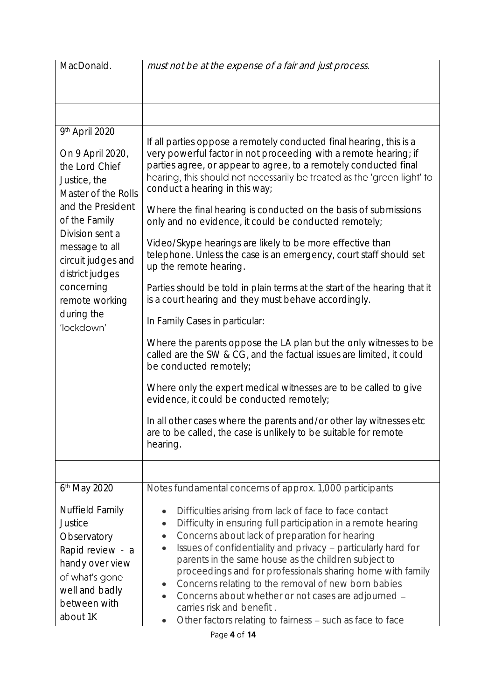| MacDonald.                                                                                                                                                                                                                                      | must not be at the expense of a fair and just process.                                                                                                                                                                                                                                                                                                                                                                                                                                                                                                                                                                                    |
|-------------------------------------------------------------------------------------------------------------------------------------------------------------------------------------------------------------------------------------------------|-------------------------------------------------------------------------------------------------------------------------------------------------------------------------------------------------------------------------------------------------------------------------------------------------------------------------------------------------------------------------------------------------------------------------------------------------------------------------------------------------------------------------------------------------------------------------------------------------------------------------------------------|
|                                                                                                                                                                                                                                                 |                                                                                                                                                                                                                                                                                                                                                                                                                                                                                                                                                                                                                                           |
|                                                                                                                                                                                                                                                 |                                                                                                                                                                                                                                                                                                                                                                                                                                                                                                                                                                                                                                           |
| 9th April 2020<br>On 9 April 2020,<br>the Lord Chief<br>Justice, the<br>Master of the Rolls<br>and the President<br>of the Family<br>Division sent a<br>message to all<br>circuit judges and<br>district judges<br>concerning<br>remote working | If all parties oppose a remotely conducted final hearing, this is a<br>very powerful factor in not proceeding with a remote hearing; if<br>parties agree, or appear to agree, to a remotely conducted final<br>hearing, this should not necessarily be treated as the 'green light' to<br>conduct a hearing in this way;<br>Where the final hearing is conducted on the basis of submissions                                                                                                                                                                                                                                              |
|                                                                                                                                                                                                                                                 | only and no evidence, it could be conducted remotely;                                                                                                                                                                                                                                                                                                                                                                                                                                                                                                                                                                                     |
|                                                                                                                                                                                                                                                 | Video/Skype hearings are likely to be more effective than<br>telephone. Unless the case is an emergency, court staff should set<br>up the remote hearing.                                                                                                                                                                                                                                                                                                                                                                                                                                                                                 |
|                                                                                                                                                                                                                                                 | Parties should be told in plain terms at the start of the hearing that it<br>is a court hearing and they must behave accordingly.                                                                                                                                                                                                                                                                                                                                                                                                                                                                                                         |
| during the<br>'lockdown'                                                                                                                                                                                                                        | In Family Cases in particular:                                                                                                                                                                                                                                                                                                                                                                                                                                                                                                                                                                                                            |
|                                                                                                                                                                                                                                                 | Where the parents oppose the LA plan but the only witnesses to be<br>called are the SW & CG, and the factual issues are limited, it could<br>be conducted remotely;                                                                                                                                                                                                                                                                                                                                                                                                                                                                       |
|                                                                                                                                                                                                                                                 | Where only the expert medical witnesses are to be called to give<br>evidence, it could be conducted remotely;                                                                                                                                                                                                                                                                                                                                                                                                                                                                                                                             |
|                                                                                                                                                                                                                                                 | In all other cases where the parents and/or other lay witnesses etc<br>are to be called, the case is unlikely to be suitable for remote<br>hearing.                                                                                                                                                                                                                                                                                                                                                                                                                                                                                       |
|                                                                                                                                                                                                                                                 |                                                                                                                                                                                                                                                                                                                                                                                                                                                                                                                                                                                                                                           |
| 6 <sup>th</sup> May 2020                                                                                                                                                                                                                        | Notes fundamental concerns of approx. 1,000 participants                                                                                                                                                                                                                                                                                                                                                                                                                                                                                                                                                                                  |
| Nuffield Family<br>Justice<br>Observatory<br>Rapid review - a<br>handy over view<br>of what's gone<br>well and badly<br>between with<br>about 1K                                                                                                | Difficulties arising from lack of face to face contact<br>$\bullet$<br>Difficulty in ensuring full participation in a remote hearing<br>$\bullet$<br>Concerns about lack of preparation for hearing<br>$\bullet$<br>Issues of confidentiality and privacy - particularly hard for<br>$\bullet$<br>parents in the same house as the children subject to<br>proceedings and for professionals sharing home with family<br>Concerns relating to the removal of new born babies<br>$\bullet$<br>Concerns about whether or not cases are adjourned -<br>carries risk and benefit.<br>Other factors relating to fairness - such as face to face |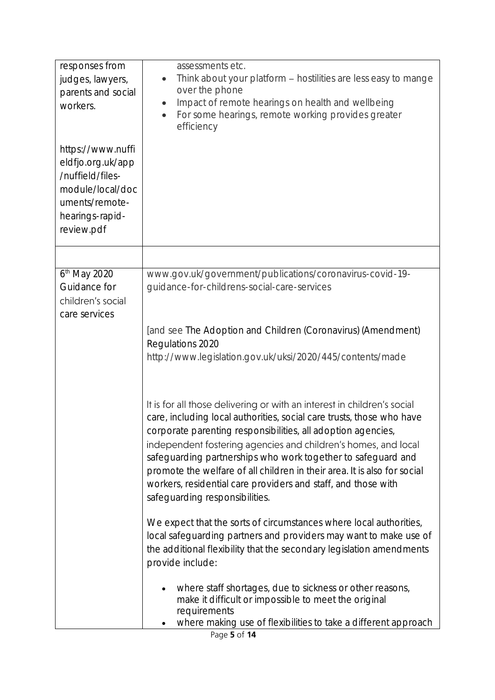| responses from<br>judges, lawyers,<br>parents and social<br>workers.<br>https://www.nuffi<br>eldfjo.org.uk/app<br>/nuffield/files-<br>module/local/doc<br>uments/remote-<br>hearings-rapid-<br>review.pdf | assessments etc.<br>Think about your platform - hostilities are less easy to mange<br>over the phone<br>Impact of remote hearings on health and wellbeing<br>$\bullet$<br>For some hearings, remote working provides greater<br>$\bullet$<br>efficiency                                                                                                                                                                                                                                                                           |
|-----------------------------------------------------------------------------------------------------------------------------------------------------------------------------------------------------------|-----------------------------------------------------------------------------------------------------------------------------------------------------------------------------------------------------------------------------------------------------------------------------------------------------------------------------------------------------------------------------------------------------------------------------------------------------------------------------------------------------------------------------------|
|                                                                                                                                                                                                           |                                                                                                                                                                                                                                                                                                                                                                                                                                                                                                                                   |
| 6 <sup>th</sup> May 2020<br>Guidance for<br>children's social<br>care services                                                                                                                            | www.gov.uk/government/publications/coronavirus-covid-19-<br>guidance-for-childrens-social-care-services<br>[and see The Adoption and Children (Coronavirus) (Amendment)<br>Regulations 2020<br>http://www.legislation.gov.uk/uksi/2020/445/contents/made                                                                                                                                                                                                                                                                          |
|                                                                                                                                                                                                           | It is for all those delivering or with an interest in children's social<br>care, including local authorities, social care trusts, those who have<br>corporate parenting responsibilities, all adoption agencies,<br>independent fostering agencies and children's homes, and local<br>safeguarding partnerships who work together to safeguard and<br>promote the welfare of all children in their area. It is also for social<br>workers, residential care providers and staff, and those with<br>safequarding responsibilities. |
|                                                                                                                                                                                                           | We expect that the sorts of circumstances where local authorities,<br>local safeguarding partners and providers may want to make use of<br>the additional flexibility that the secondary legislation amendments<br>provide include:                                                                                                                                                                                                                                                                                               |
|                                                                                                                                                                                                           | where staff shortages, due to sickness or other reasons,<br>make it difficult or impossible to meet the original<br>requirements<br>where making use of flexibilities to take a different approach                                                                                                                                                                                                                                                                                                                                |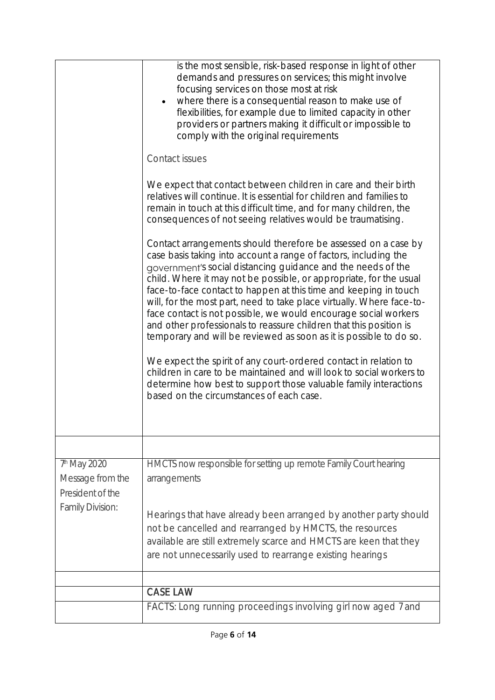|                                                      | is the most sensible, risk-based response in light of other<br>demands and pressures on services; this might involve<br>focusing services on those most at risk<br>where there is a consequential reason to make use of<br>flexibilities, for example due to limited capacity in other<br>providers or partners making it difficult or impossible to<br>comply with the original requirements<br>Contact issues<br>We expect that contact between children in care and their birth<br>relatives will continue. It is essential for children and families to<br>remain in touch at this difficult time, and for many children, the<br>consequences of not seeing relatives would be traumatising.<br>Contact arrangements should therefore be assessed on a case by<br>case basis taking into account a range of factors, including the<br>government's social distancing guidance and the needs of the<br>child. Where it may not be possible, or appropriate, for the usual<br>face-to-face contact to happen at this time and keeping in touch<br>will, for the most part, need to take place virtually. Where face-to-<br>face contact is not possible, we would encourage social workers<br>and other professionals to reassure children that this position is<br>temporary and will be reviewed as soon as it is possible to do so.<br>We expect the spirit of any court-ordered contact in relation to<br>children in care to be maintained and will look to social workers to<br>determine how best to support those valuable family interactions<br>based on the circumstances of each case. |
|------------------------------------------------------|------------------------------------------------------------------------------------------------------------------------------------------------------------------------------------------------------------------------------------------------------------------------------------------------------------------------------------------------------------------------------------------------------------------------------------------------------------------------------------------------------------------------------------------------------------------------------------------------------------------------------------------------------------------------------------------------------------------------------------------------------------------------------------------------------------------------------------------------------------------------------------------------------------------------------------------------------------------------------------------------------------------------------------------------------------------------------------------------------------------------------------------------------------------------------------------------------------------------------------------------------------------------------------------------------------------------------------------------------------------------------------------------------------------------------------------------------------------------------------------------------------------------------------------------------------------------------------------------------|
|                                                      |                                                                                                                                                                                                                                                                                                                                                                                                                                                                                                                                                                                                                                                                                                                                                                                                                                                                                                                                                                                                                                                                                                                                                                                                                                                                                                                                                                                                                                                                                                                                                                                                      |
| 7th May 2020<br>Message from the<br>President of the | HMCTS now responsible for setting up remote Family Court hearing<br>arrangements                                                                                                                                                                                                                                                                                                                                                                                                                                                                                                                                                                                                                                                                                                                                                                                                                                                                                                                                                                                                                                                                                                                                                                                                                                                                                                                                                                                                                                                                                                                     |
| <b>Family Division:</b>                              | Hearings that have already been arranged by another party should<br>not be cancelled and rearranged by HMCTS, the resources<br>available are still extremely scarce and HMCTS are keen that they<br>are not unnecessarily used to rearrange existing hearings                                                                                                                                                                                                                                                                                                                                                                                                                                                                                                                                                                                                                                                                                                                                                                                                                                                                                                                                                                                                                                                                                                                                                                                                                                                                                                                                        |
|                                                      |                                                                                                                                                                                                                                                                                                                                                                                                                                                                                                                                                                                                                                                                                                                                                                                                                                                                                                                                                                                                                                                                                                                                                                                                                                                                                                                                                                                                                                                                                                                                                                                                      |
|                                                      | <b>CASE LAW</b>                                                                                                                                                                                                                                                                                                                                                                                                                                                                                                                                                                                                                                                                                                                                                                                                                                                                                                                                                                                                                                                                                                                                                                                                                                                                                                                                                                                                                                                                                                                                                                                      |
|                                                      | FACTS: Long running proceedings involving girl now aged 7 and                                                                                                                                                                                                                                                                                                                                                                                                                                                                                                                                                                                                                                                                                                                                                                                                                                                                                                                                                                                                                                                                                                                                                                                                                                                                                                                                                                                                                                                                                                                                        |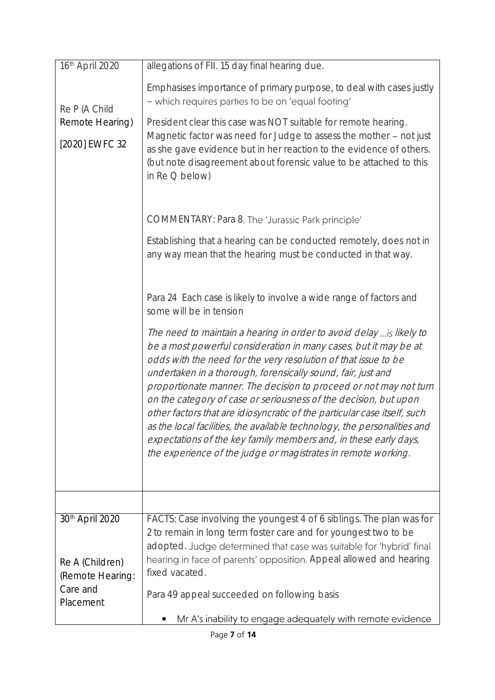| 16th April 2020                    | allegations of FII. 15 day final hearing due.                                                                                                                                                                                                                                                                                                                                                                                                                                                                                                                                                                                                                                                                    |
|------------------------------------|------------------------------------------------------------------------------------------------------------------------------------------------------------------------------------------------------------------------------------------------------------------------------------------------------------------------------------------------------------------------------------------------------------------------------------------------------------------------------------------------------------------------------------------------------------------------------------------------------------------------------------------------------------------------------------------------------------------|
| Re P (A Child                      | Emphasises importance of primary purpose, to deal with cases justly<br>- which requires parties to be on 'equal footing'                                                                                                                                                                                                                                                                                                                                                                                                                                                                                                                                                                                         |
| Remote Hearing)                    | President clear this case was NOT suitable for remote hearing.                                                                                                                                                                                                                                                                                                                                                                                                                                                                                                                                                                                                                                                   |
| [2020] EWFC 32                     | Magnetic factor was need for Judge to assess the mother - not just<br>as she gave evidence but in her reaction to the evidence of others.<br>(but note disagreement about forensic value to be attached to this<br>in $Re$ $Q$ below)                                                                                                                                                                                                                                                                                                                                                                                                                                                                            |
|                                    | COMMENTARY: Para 8. The 'Jurassic Park principle'                                                                                                                                                                                                                                                                                                                                                                                                                                                                                                                                                                                                                                                                |
|                                    | Establishing that a hearing can be conducted remotely, does not in<br>any way mean that the hearing must be conducted in that way.                                                                                                                                                                                                                                                                                                                                                                                                                                                                                                                                                                               |
|                                    | Para 24 Each case is likely to involve a wide range of factors and<br>some will be in tension                                                                                                                                                                                                                                                                                                                                                                                                                                                                                                                                                                                                                    |
|                                    | The need to maintain a hearing in order to avoid delay  is likely to<br>be a most powerful consideration in many cases, but it may be at<br>odds with the need for the very resolution of that issue to be<br>undertaken in a thorough, forensically sound, fair, just and<br>proportionate manner. The decision to proceed or not may not turn<br>on the category of case or seriousness of the decision, but upon<br>other factors that are idiosyncratic of the particular case itself, such<br>as the local facilities, the available technology, the personalities and<br>expectations of the key family members and, in these early days,<br>the experience of the judge or magistrates in remote working. |
|                                    |                                                                                                                                                                                                                                                                                                                                                                                                                                                                                                                                                                                                                                                                                                                  |
| 30th April 2020<br>Re A (Children) | FACTS: Case involving the youngest 4 of 6 siblings. The plan was for<br>2 to remain in long term foster care and for youngest two to be<br>adopted. Judge determined that case was suitable for 'hybrid' final<br>hearing in face of parents' opposition. Appeal allowed and hearing                                                                                                                                                                                                                                                                                                                                                                                                                             |
| (Remote Hearing:                   | fixed vacated.                                                                                                                                                                                                                                                                                                                                                                                                                                                                                                                                                                                                                                                                                                   |
| Care and<br>Placement              | Para 49 appeal succeeded on following basis                                                                                                                                                                                                                                                                                                                                                                                                                                                                                                                                                                                                                                                                      |
|                                    | Mr A's inability to engage adequately with remote evidence                                                                                                                                                                                                                                                                                                                                                                                                                                                                                                                                                                                                                                                       |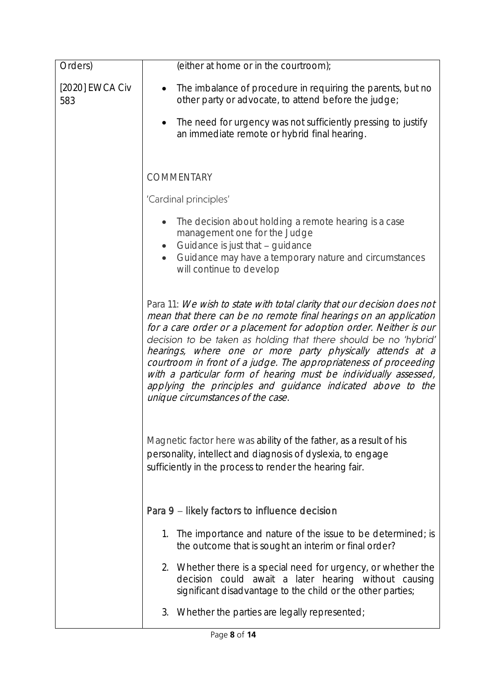| Orders)                | (either at home or in the courtroom);                                                                                                                                                                                                                                                                                                                                                                                                                                                                                                                                                           |
|------------------------|-------------------------------------------------------------------------------------------------------------------------------------------------------------------------------------------------------------------------------------------------------------------------------------------------------------------------------------------------------------------------------------------------------------------------------------------------------------------------------------------------------------------------------------------------------------------------------------------------|
| [2020] EWCA Civ<br>583 | The imbalance of procedure in requiring the parents, but no<br>other party or advocate, to attend before the judge;                                                                                                                                                                                                                                                                                                                                                                                                                                                                             |
|                        | The need for urgency was not sufficiently pressing to justify<br>an immediate remote or hybrid final hearing.                                                                                                                                                                                                                                                                                                                                                                                                                                                                                   |
|                        | <b>COMMENTARY</b>                                                                                                                                                                                                                                                                                                                                                                                                                                                                                                                                                                               |
|                        | 'Cardinal principles'                                                                                                                                                                                                                                                                                                                                                                                                                                                                                                                                                                           |
|                        | The decision about holding a remote hearing is a case<br>management one for the Judge<br>Guidance is just that - guidance<br>$\bullet$<br>Guidance may have a temporary nature and circumstances<br>will continue to develop                                                                                                                                                                                                                                                                                                                                                                    |
|                        | Para 11: We wish to state with total clarity that our decision does not<br>mean that there can be no remote final hearings on an application<br>for a care order or a placement for adoption order. Neither is our<br>decision to be taken as holding that there should be no 'hybrid'<br>hearings, where one or more party physically attends at a<br>courtroom in front of a judge. The appropriateness of proceeding<br>with a particular form of hearing must be individually assessed,<br>applying the principles and guidance indicated above to the<br>unique circumstances of the case. |
|                        | Magnetic factor here was ability of the father, as a result of his<br>personality, intellect and diagnosis of dyslexia, to engage<br>sufficiently in the process to render the hearing fair.                                                                                                                                                                                                                                                                                                                                                                                                    |
|                        | Para 9 – likely factors to influence decision                                                                                                                                                                                                                                                                                                                                                                                                                                                                                                                                                   |
|                        | 1. The importance and nature of the issue to be determined; is<br>the outcome that is sought an interim or final order?                                                                                                                                                                                                                                                                                                                                                                                                                                                                         |
|                        | 2. Whether there is a special need for urgency, or whether the<br>decision could await a later hearing without causing<br>significant disadvantage to the child or the other parties;                                                                                                                                                                                                                                                                                                                                                                                                           |
|                        | 3. Whether the parties are legally represented;                                                                                                                                                                                                                                                                                                                                                                                                                                                                                                                                                 |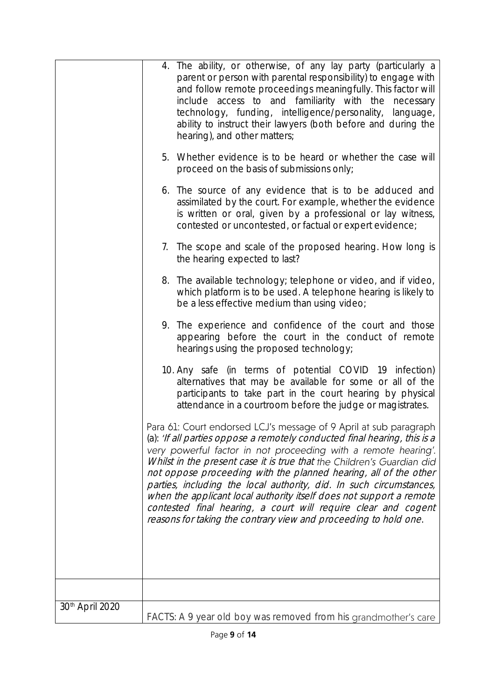|                             | 4. The ability, or otherwise, of any lay party (particularly a<br>parent or person with parental responsibility) to engage with<br>and follow remote proceedings meaningfully. This factor will<br>include access to and familiarity with the necessary<br>technology, funding, intelligence/personality, language,<br>ability to instruct their lawyers (both before and during the<br>hearing), and other matters;                                                                                                                                                                                                                               |
|-----------------------------|----------------------------------------------------------------------------------------------------------------------------------------------------------------------------------------------------------------------------------------------------------------------------------------------------------------------------------------------------------------------------------------------------------------------------------------------------------------------------------------------------------------------------------------------------------------------------------------------------------------------------------------------------|
|                             | 5. Whether evidence is to be heard or whether the case will<br>proceed on the basis of submissions only;                                                                                                                                                                                                                                                                                                                                                                                                                                                                                                                                           |
|                             | 6. The source of any evidence that is to be adduced and<br>assimilated by the court. For example, whether the evidence<br>is written or oral, given by a professional or lay witness,<br>contested or uncontested, or factual or expert evidence;                                                                                                                                                                                                                                                                                                                                                                                                  |
|                             | 7. The scope and scale of the proposed hearing. How long is<br>the hearing expected to last?                                                                                                                                                                                                                                                                                                                                                                                                                                                                                                                                                       |
|                             | 8. The available technology; telephone or video, and if video,<br>which platform is to be used. A telephone hearing is likely to<br>be a less effective medium than using video;                                                                                                                                                                                                                                                                                                                                                                                                                                                                   |
|                             | 9. The experience and confidence of the court and those<br>appearing before the court in the conduct of remote<br>hearings using the proposed technology;                                                                                                                                                                                                                                                                                                                                                                                                                                                                                          |
|                             | 10. Any safe (in terms of potential COVID 19 infection)<br>alternatives that may be available for some or all of the<br>participants to take part in the court hearing by physical<br>attendance in a courtroom before the judge or magistrates.                                                                                                                                                                                                                                                                                                                                                                                                   |
|                             | Para 61: Court endorsed LCJ's message of 9 April at sub paragraph<br>(a): 'If all parties oppose a remotely conducted final hearing, this is a<br>very powerful factor in not proceeding with a remote hearing'.<br>Whilst in the present case it is true that the Children's Guardian did<br>not oppose proceeding with the planned hearing, all of the other<br>parties, including the local authority, did. In such circumstances,<br>when the applicant local authority itself does not support a remote<br>contested final hearing, a court will require clear and cogent<br>reasons for taking the contrary view and proceeding to hold one. |
|                             |                                                                                                                                                                                                                                                                                                                                                                                                                                                                                                                                                                                                                                                    |
| 30 <sup>th</sup> April 2020 | FACTS: A 9 year old boy was removed from his grandmother's care                                                                                                                                                                                                                                                                                                                                                                                                                                                                                                                                                                                    |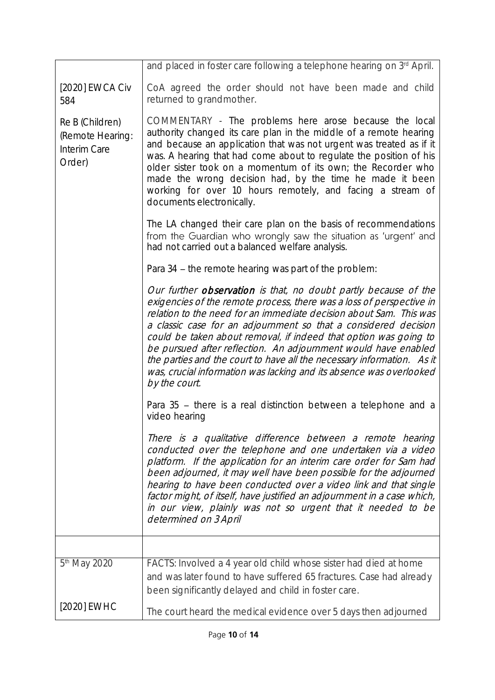|                                                               | and placed in foster care following a telephone hearing on 3rd April.                                                                                                                                                                                                                                                                                                                                                                                                                                                                                                                    |
|---------------------------------------------------------------|------------------------------------------------------------------------------------------------------------------------------------------------------------------------------------------------------------------------------------------------------------------------------------------------------------------------------------------------------------------------------------------------------------------------------------------------------------------------------------------------------------------------------------------------------------------------------------------|
| [2020] EWCA Civ<br>584                                        | CoA agreed the order should not have been made and child<br>returned to grandmother.                                                                                                                                                                                                                                                                                                                                                                                                                                                                                                     |
| Re B (Children)<br>(Remote Hearing:<br>Interim Care<br>Order) | COMMENTARY - The problems here arose because the local<br>authority changed its care plan in the middle of a remote hearing<br>and because an application that was not urgent was treated as if it<br>was. A hearing that had come about to regulate the position of his<br>older sister took on a momentum of its own; the Recorder who<br>made the wrong decision had, by the time he made it been<br>working for over 10 hours remotely, and facing a stream of<br>documents electronically.                                                                                          |
|                                                               | The LA changed their care plan on the basis of recommendations<br>from the Guardian who wrongly saw the situation as 'urgent' and<br>had not carried out a balanced welfare analysis.                                                                                                                                                                                                                                                                                                                                                                                                    |
|                                                               | Para 34 - the remote hearing was part of the problem:                                                                                                                                                                                                                                                                                                                                                                                                                                                                                                                                    |
|                                                               | Our further observation is that, no doubt partly because of the<br>exigencies of the remote process, there was a loss of perspective in<br>relation to the need for an immediate decision about Sam. This was<br>a classic case for an adjournment so that a considered decision<br>could be taken about removal, if indeed that option was going to<br>be pursued after reflection. An adjournment would have enabled<br>the parties and the court to have all the necessary information. As it<br>was, crucial information was lacking and its absence was overlooked<br>by the court. |
|                                                               | Para 35 – there is a real distinction between a telephone and a<br>video hearing                                                                                                                                                                                                                                                                                                                                                                                                                                                                                                         |
|                                                               | There is a qualitative difference between a remote hearing<br>conducted over the telephone and one undertaken via a video<br>platform. If the application for an interim care order for Sam had<br>been adjourned, it may well have been possible for the adjourned<br>hearing to have been conducted over a video link and that single<br>factor might, of itself, have justified an adjournment in a case which,<br>in our view, plainly was not so urgent that it needed to be<br>determined on 3 April                                                                               |
|                                                               |                                                                                                                                                                                                                                                                                                                                                                                                                                                                                                                                                                                          |
| 5 <sup>th</sup> May 2020                                      | FACTS: Involved a 4 year old child whose sister had died at home<br>and was later found to have suffered 65 fractures. Case had already<br>been significantly delayed and child in foster care.                                                                                                                                                                                                                                                                                                                                                                                          |
| [2020] EWHC                                                   | The court heard the medical evidence over 5 days then adjourned                                                                                                                                                                                                                                                                                                                                                                                                                                                                                                                          |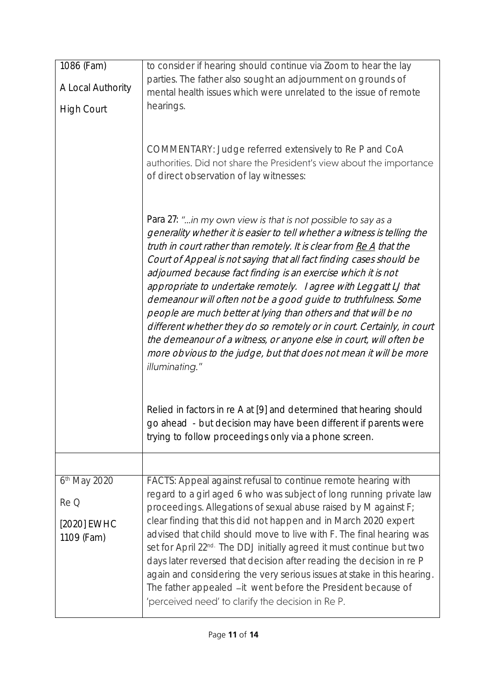| 1086 (Fam)                | to consider if hearing should continue via Zoom to hear the lay                                                                                                                                                                                                                                                                                                                                                                                                                                                                                                                                                                                                                                                                                                                                        |
|---------------------------|--------------------------------------------------------------------------------------------------------------------------------------------------------------------------------------------------------------------------------------------------------------------------------------------------------------------------------------------------------------------------------------------------------------------------------------------------------------------------------------------------------------------------------------------------------------------------------------------------------------------------------------------------------------------------------------------------------------------------------------------------------------------------------------------------------|
| A Local Authority         | parties. The father also sought an adjournment on grounds of<br>mental health issues which were unrelated to the issue of remote                                                                                                                                                                                                                                                                                                                                                                                                                                                                                                                                                                                                                                                                       |
| <b>High Court</b>         | hearings.                                                                                                                                                                                                                                                                                                                                                                                                                                                                                                                                                                                                                                                                                                                                                                                              |
|                           | COMMENTARY: Judge referred extensively to Re P and CoA<br>authorities. Did not share the President's view about the importance<br>of direct observation of lay witnesses:                                                                                                                                                                                                                                                                                                                                                                                                                                                                                                                                                                                                                              |
|                           | Para 27: "in my own view is that is not possible to say as a<br>generality whether it is easier to tell whether a witness is telling the<br>truth in court rather than remotely. It is clear from Re A that the<br>Court of Appeal is not saying that all fact finding cases should be<br>adjourned because fact finding is an exercise which it is not<br>appropriate to undertake remotely. I agree with Leggatt LJ that<br>demeanour will often not be a good guide to truthfulness. Some<br>people are much better at lying than others and that will be no<br>different whether they do so remotely or in court. Certainly, in court<br>the demeanour of a witness, or anyone else in court, will often be<br>more obvious to the judge, but that does not mean it will be more<br>illuminating." |
|                           | Relied in factors in re A at [9] and determined that hearing should<br>go ahead - but decision may have been different if parents were<br>trying to follow proceedings only via a phone screen.                                                                                                                                                                                                                                                                                                                                                                                                                                                                                                                                                                                                        |
|                           |                                                                                                                                                                                                                                                                                                                                                                                                                                                                                                                                                                                                                                                                                                                                                                                                        |
| 6 <sup>th</sup> May 2020  | FACTS: Appeal against refusal to continue remote hearing with<br>regard to a girl aged 6 who was subject of long running private law                                                                                                                                                                                                                                                                                                                                                                                                                                                                                                                                                                                                                                                                   |
| Re Q                      | proceedings. Allegations of sexual abuse raised by M against F;                                                                                                                                                                                                                                                                                                                                                                                                                                                                                                                                                                                                                                                                                                                                        |
| [2020] EWHC<br>1109 (Fam) | clear finding that this did not happen and in March 2020 expert<br>advised that child should move to live with F. The final hearing was<br>set for April 22 <sup>nd.</sup> The DDJ initially agreed it must continue but two<br>days later reversed that decision after reading the decision in re P<br>again and considering the very serious issues at stake in this hearing.<br>The father appealed -it went before the President because of<br>'perceived need' to clarify the decision in Re P.                                                                                                                                                                                                                                                                                                   |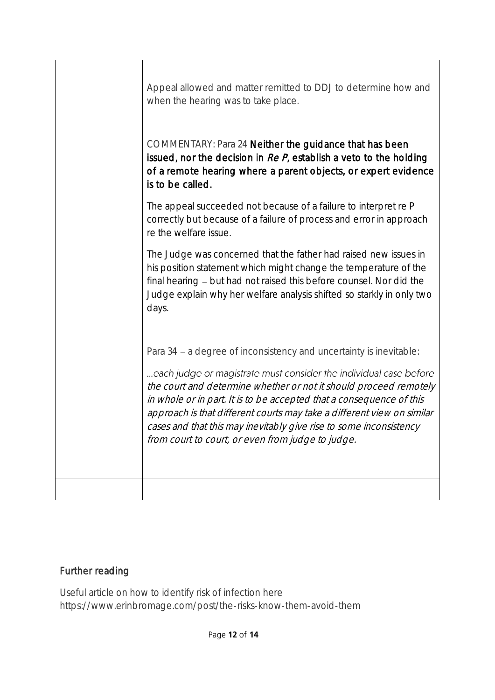| Appeal allowed and matter remitted to DDJ to determine how and<br>when the hearing was to take place.                                                                                                                                                                                                                                                                                                                                                                                     |
|-------------------------------------------------------------------------------------------------------------------------------------------------------------------------------------------------------------------------------------------------------------------------------------------------------------------------------------------------------------------------------------------------------------------------------------------------------------------------------------------|
| COMMENTARY: Para 24 Neither the guidance that has been<br>issued, nor the decision in $Re P$ , establish a veto to the holding<br>of a remote hearing where a parent objects, or expert evidence<br>is to be called.                                                                                                                                                                                                                                                                      |
| The appeal succeeded not because of a failure to interpret re P<br>correctly but because of a failure of process and error in approach<br>re the welfare issue.                                                                                                                                                                                                                                                                                                                           |
| The Judge was concerned that the father had raised new issues in<br>his position statement which might change the temperature of the<br>final hearing - but had not raised this before counsel. Nor did the<br>Judge explain why her welfare analysis shifted so starkly in only two<br>days.                                                                                                                                                                                             |
| Para 34 - a degree of inconsistency and uncertainty is inevitable:<br>each judge or magistrate must consider the individual case before<br>the court and determine whether or not it should proceed remotely<br>in whole or in part. It is to be accepted that a consequence of this<br>approach is that different courts may take a different view on similar<br>cases and that this may inevitably give rise to some inconsistency<br>from court to court, or even from judge to judge. |
|                                                                                                                                                                                                                                                                                                                                                                                                                                                                                           |

## Further reading

Useful article on how to identify risk of infection here https://www.erinbromage.com/post/the-risks-know-them-avoid-them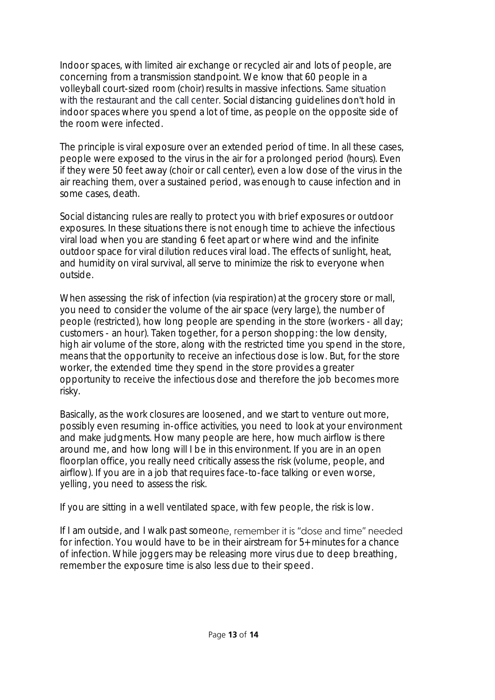Indoor spaces, with limited air exchange or recycled air and lots of people, are concerning from a transmission standpoint. We know that 60 people in a volleyball court-sized room (choir) results in massive infections. Same situation with the restaurant and the call center. Social distancing guidelines don't hold in indoor spaces where you spend a lot of time, as people on the opposite side of the room were infected.

The principle is viral exposure over an extended period of time. In all these cases, people were exposed to the virus in the air for a prolonged period (hours). Even if they were 50 feet away (choir or call center), even a low dose of the virus in the air reaching them, over a sustained period, was enough to cause infection and in some cases, death.

Social distancing rules are really to protect you with brief exposures or outdoor exposures. In these situations there is not enough time to achieve the infectious viral load when you are standing 6 feet apart or where wind and the infinite outdoor space for viral dilution reduces viral load. The effects of sunlight, heat, and humidity on viral survival, all serve to minimize the risk to everyone when outside.

When assessing the risk of infection (via respiration) at the grocery store or mall, you need to consider the volume of the air space (very large), the number of people (restricted), how long people are spending in the store (workers - all day; customers - an hour). Taken together, for a person shopping: the low density, high air volume of the store, along with the restricted time you spend in the store, means that the opportunity to receive an infectious dose is low. But, for the store worker, the extended time they spend in the store provides a greater opportunity to receive the infectious dose and therefore the job becomes more risky.

Basically, as the work closures are loosened, and we start to venture out more, possibly even resuming in-office activities, you need to look at your environment and make judgments. How many people are here, how much airflow is there around me, and how long will I be in this environment. If you are in an open floorplan office, you really need critically assess the risk (volume, people, and airflow). If you are in a job that requires face-to-face talking or even worse, yelling, you need to assess the risk.

If you are sitting in a well ventilated space, with few people, the risk is low.

If I am outside, and I walk past someone, remember it is "dose and time" needed for infection. You would have to be in their airstream for 5+ minutes for a chance of infection. While joggers may be releasing more virus due to deep breathing, remember the exposure time is also less due to their speed.